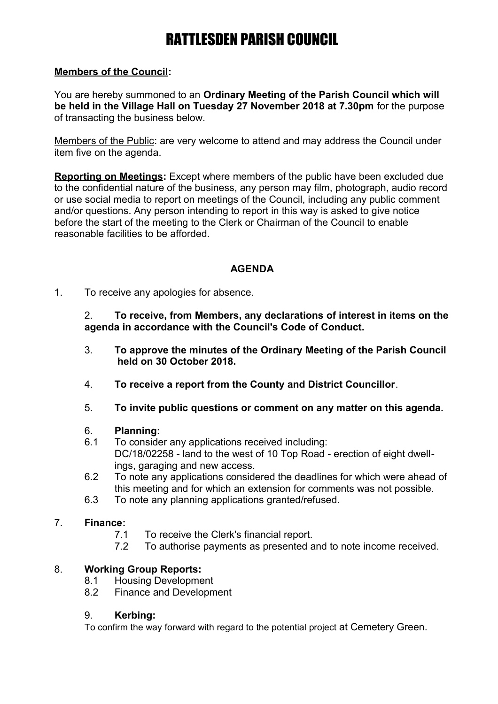## RATTLESDEN PARISH COUNCIL

### **Members of the Council:**

You are hereby summoned to an **Ordinary Meeting of the Parish Council which will be held in the Village Hall on Tuesday 27 November 2018 at 7.30pm** for the purpose of transacting the business below.

Members of the Public: are very welcome to attend and may address the Council under item five on the agenda.

**Reporting on Meetings:** Except where members of the public have been excluded due to the confidential nature of the business, any person may film, photograph, audio record or use social media to report on meetings of the Council, including any public comment and/or questions. Any person intending to report in this way is asked to give notice before the start of the meeting to the Clerk or Chairman of the Council to enable reasonable facilities to be afforded.

## **AGENDA**

1. To receive any apologies for absence.

2. **To receive, from Members, any declarations of interest in items on the agenda in accordance with the Council's Code of Conduct.**

- 3. **To approve the minutes of the Ordinary Meeting of the Parish Council held on 30 October 2018.**
- 4. **To receive a report from the County and District Councillor**.
- 5. **To invite public questions or comment on any matter on this agenda.**

#### 6. **Planning:**

- 6.1 To consider any applications received including: DC/18/02258 - land to the west of 10 Top Road - erection of eight dwellings, garaging and new access.
- 6.2 To note any applications considered the deadlines for which were ahead of this meeting and for which an extension for comments was not possible.
- 6.3 To note any planning applications granted/refused.

#### 7. **Finance:**

- 7.1 To receive the Clerk's financial report.
- 7.2 To authorise payments as presented and to note income received.

## 8. **Working Group Reports:**

- 8.1 Housing Development
- 8.2 Finance and Development

#### 9. **Kerbing:**

To confirm the way forward with regard to the potential project at Cemetery Green.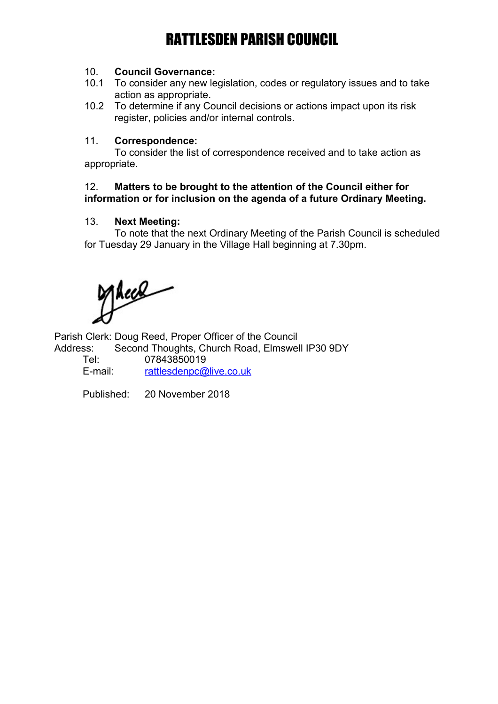# RATTLESDEN PARISH COUNCIL

#### 10. **Council Governance:**

- 10.1 To consider any new legislation, codes or regulatory issues and to take action as appropriate.
- 10.2 To determine if any Council decisions or actions impact upon its risk register, policies and/or internal controls.

#### 11. **Correspondence:**

To consider the list of correspondence received and to take action as appropriate.

#### 12. **Matters to be brought to the attention of the Council either for information or for inclusion on the agenda of a future Ordinary Meeting.**

#### 13. **Next Meeting:**

To note that the next Ordinary Meeting of the Parish Council is scheduled for Tuesday 29 January in the Village Hall beginning at 7.30pm.

Theel

Parish Clerk: Doug Reed, Proper Officer of the Council

Address: Second Thoughts, Church Road, Elmswell IP30 9DY Tel: 07843850019

E-mail: [rattlesdenpc@live.co.uk](mailto:rattlesdenpc@live.co.uk)

Published: 20 November 2018